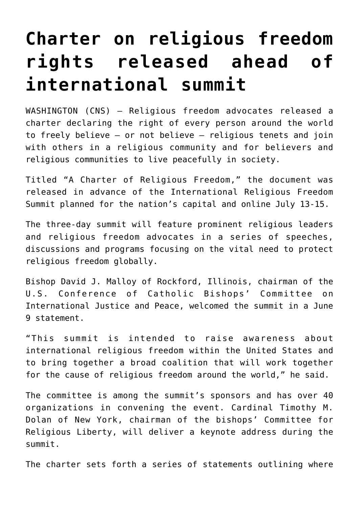## **[Charter on religious freedom](https://www.osvnews.com/2021/06/28/charter-on-religious-freedom-rights-released-ahead-of-international-summit/) [rights released ahead of](https://www.osvnews.com/2021/06/28/charter-on-religious-freedom-rights-released-ahead-of-international-summit/) [international summit](https://www.osvnews.com/2021/06/28/charter-on-religious-freedom-rights-released-ahead-of-international-summit/)**

WASHINGTON (CNS) — Religious freedom advocates released a charter declaring the right of every person around the world to freely believe — or not believe — religious tenets and join with others in a religious community and for believers and religious communities to live peacefully in society.

Titled "A Charter of Religious Freedom," the document was released in advance of the International Religious Freedom Summit planned for the nation's capital and online July 13-15.

The three-day summit will feature prominent religious leaders and religious freedom advocates in a series of speeches, discussions and programs focusing on the vital need to protect religious freedom globally.

Bishop David J. Malloy of Rockford, Illinois, chairman of the U.S. Conference of Catholic Bishops' Committee on International Justice and Peace, welcomed the summit in a June 9 statement.

"This summit is intended to raise awareness about international religious freedom within the United States and to bring together a broad coalition that will work together for the cause of religious freedom around the world," he said.

The committee is among the summit's sponsors and has over 40 organizations in convening the event. Cardinal Timothy M. Dolan of New York, chairman of the bishops' Committee for Religious Liberty, will deliver a keynote address during the summit.

The charter sets forth a series of statements outlining where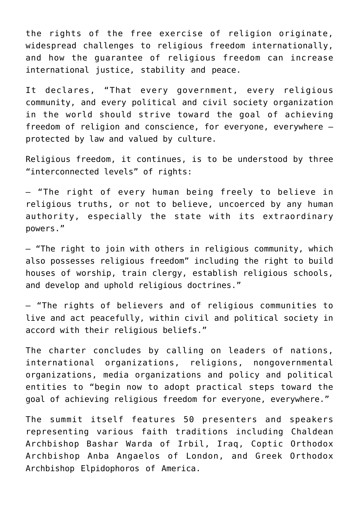the rights of the free exercise of religion originate, widespread challenges to religious freedom internationally, and how the guarantee of religious freedom can increase international justice, stability and peace.

It declares, "That every government, every religious community, and every political and civil society organization in the world should strive toward the goal of achieving freedom of religion and conscience, for everyone, everywhere protected by law and valued by culture.

Religious freedom, it continues, is to be understood by three "interconnected levels" of rights:

— "The right of every human being freely to believe in religious truths, or not to believe, uncoerced by any human authority, especially the state with its extraordinary powers."

— "The right to join with others in religious community, which also possesses religious freedom" including the right to build houses of worship, train clergy, establish religious schools, and develop and uphold religious doctrines."

— "The rights of believers and of religious communities to live and act peacefully, within civil and political society in accord with their religious beliefs."

The charter concludes by calling on leaders of nations, international organizations, religions, nongovernmental organizations, media organizations and policy and political entities to "begin now to adopt practical steps toward the goal of achieving religious freedom for everyone, everywhere."

The summit itself features 50 presenters and speakers representing various faith traditions including Chaldean Archbishop Bashar Warda of Irbil, Iraq, Coptic Orthodox Archbishop Anba Angaelos of London, and Greek Orthodox Archbishop Elpidophoros of America.